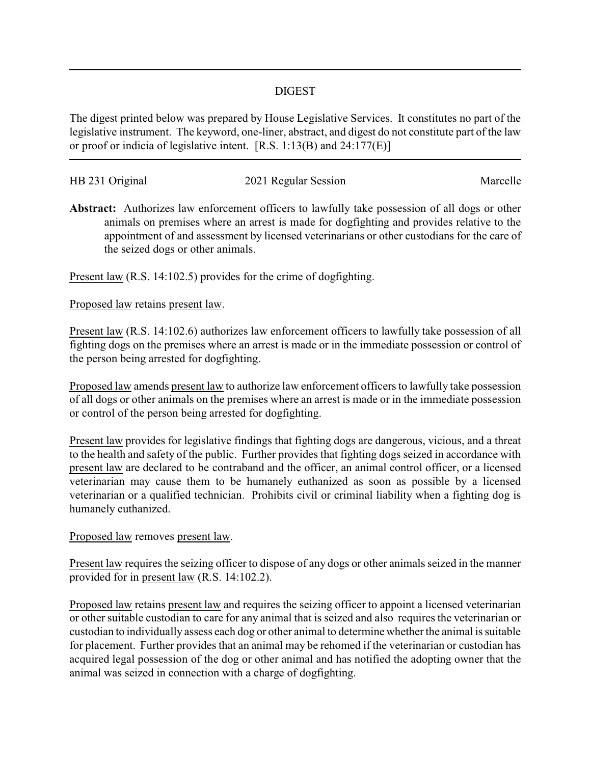## DIGEST

The digest printed below was prepared by House Legislative Services. It constitutes no part of the legislative instrument. The keyword, one-liner, abstract, and digest do not constitute part of the law or proof or indicia of legislative intent. [R.S. 1:13(B) and 24:177(E)]

| HB 231 Original |                      | Marcelle |
|-----------------|----------------------|----------|
|                 | 2021 Regular Session |          |

**Abstract:** Authorizes law enforcement officers to lawfully take possession of all dogs or other animals on premises where an arrest is made for dogfighting and provides relative to the appointment of and assessment by licensed veterinarians or other custodians for the care of the seized dogs or other animals.

Present law (R.S. 14:102.5) provides for the crime of dogfighting.

Proposed law retains present law.

Present law (R.S. 14:102.6) authorizes law enforcement officers to lawfully take possession of all fighting dogs on the premises where an arrest is made or in the immediate possession or control of the person being arrested for dogfighting.

Proposed law amends present law to authorize law enforcement officers to lawfully take possession of all dogs or other animals on the premises where an arrest is made or in the immediate possession or control of the person being arrested for dogfighting.

Present law provides for legislative findings that fighting dogs are dangerous, vicious, and a threat to the health and safety of the public. Further provides that fighting dogs seized in accordance with present law are declared to be contraband and the officer, an animal control officer, or a licensed veterinarian may cause them to be humanely euthanized as soon as possible by a licensed veterinarian or a qualified technician. Prohibits civil or criminal liability when a fighting dog is humanely euthanized.

## Proposed law removes present law.

Present law requires the seizing officer to dispose of any dogs or other animals seized in the manner provided for in present law (R.S. 14:102.2).

Proposed law retains present law and requires the seizing officer to appoint a licensed veterinarian or other suitable custodian to care for any animal that is seized and also requires the veterinarian or custodian to individually assess each dog or other animal to determine whether the animal is suitable for placement. Further provides that an animal may be rehomed if the veterinarian or custodian has acquired legal possession of the dog or other animal and has notified the adopting owner that the animal was seized in connection with a charge of dogfighting.